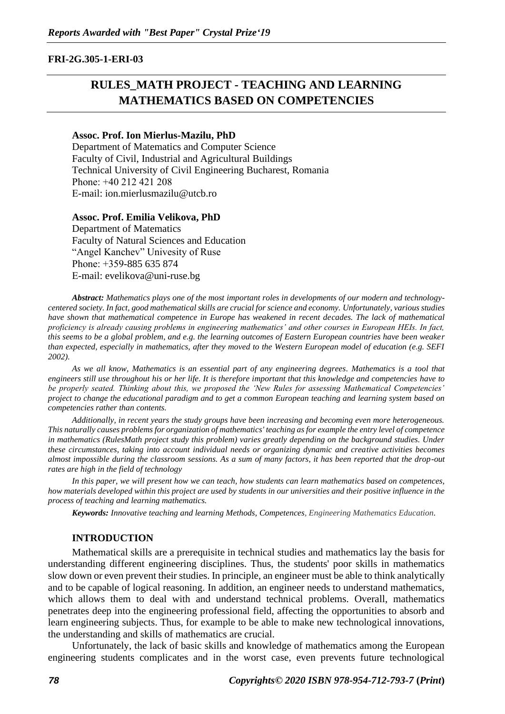#### **FRI-2G.305-1-ERI-03**

# **RULES\_MATH PROJECT - TEACHING AND LEARNING MATHEMATICS BASED ON COMPETENCIES**

#### **Assoc. Prof. Ion Mierlus-Mazilu, PhD**

Department of Matematics and Computer Science Faculty of Civil, Industrial and Agricultural Buildings Technical University of Civil Engineering Bucharest, Romania Рhone: +40 212 421 208 Е-mail: ion.mierlusmazilu@utcb.ro

#### **Assoc. Prof. Emilia Velikova, PhD**

Department of Matematics Faculty of Natural Sciences and Education "Angel Kanchev" Univesity of Ruse Рhone: +359-885 635 874 Е-mail: evelikova@uni-ruse.bg

*Abstract: Mathematics plays one of the most important roles in developments of our modern and technologycentered society. In fact, good mathematical skills are crucial for science and economy. Unfortunately, various studies have shown that mathematical competence in Europe has weakened in recent decades. The lack of mathematical proficiency is already causing problems in engineering mathematics' and other courses in European HEIs. In fact, this seems to be a global problem, and e.g. the learning outcomes of Eastern European countries have been weaker than expected, especially in mathematics, after they moved to the Western European model of education (e.g. SEFI 2002).*

*As we all know, Mathematics is an essential part of any engineering degrees. Mathematics is a tool that engineers still use throughout his or her life. It is therefore important that this knowledge and competencies have to be properly seated. Thinking about this, we proposed the 'New Rules for assessing Mathematical Competencies' project to change the educational paradigm and to get a common European teaching and learning system based on competencies rather than contents.* 

*Additionally, in recent years the study groups have been increasing and becoming even more heterogeneous. This naturally causes problems for organization of mathematics' teaching as for example the entry level of competence in mathematics (RulesMath project study this problem) varies greatly depending on the background studies. Under these circumstances, taking into account individual needs or organizing dynamic and creative activities becomes almost impossible during the classroom sessions. As a sum of many factors, it has been reported that the drop-out rates are high in the field of technology*

*In this paper, we will present how we can teach, how students can learn mathematics based on competences, how materials developed within this project are used by students in our universities and their positive influence in the process of teaching and learning mathematics.*

*Keywords: Innovative teaching and learning Methods, Competences, Engineering Mathematics Education.*

#### **INTRODUCTION**

Mathematical skills are a prerequisite in technical studies and mathematics lay the basis for understanding different engineering disciplines. Thus, the students' poor skills in mathematics slow down or even prevent their studies. In principle, an engineer must be able to think analytically and to be capable of logical reasoning. In addition, an engineer needs to understand mathematics, which allows them to deal with and understand technical problems. Overall, mathematics penetrates deep into the engineering professional field, affecting the opportunities to absorb and learn engineering subjects. Thus, for example to be able to make new technological innovations, the understanding and skills of mathematics are crucial.

Unfortunately, the lack of basic skills and knowledge of mathematics among the European engineering students complicates and in the worst case, even prevents future technological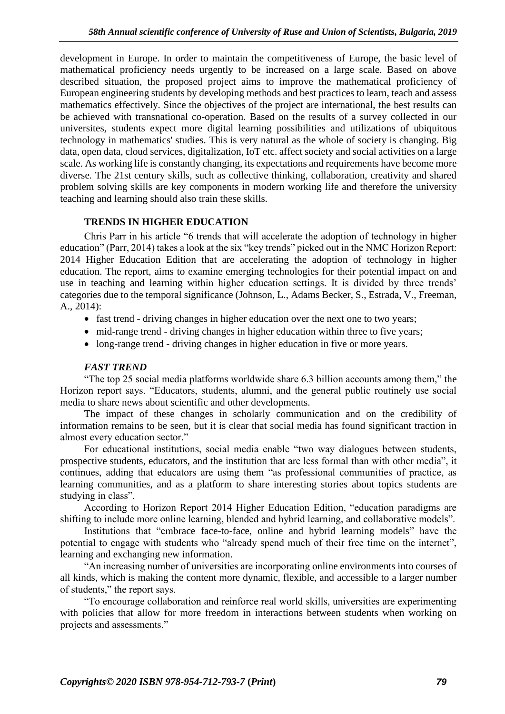development in Europe. In order to maintain the competitiveness of Europe, the basic level of mathematical proficiency needs urgently to be increased on a large scale. Based on above described situation, the proposed project aims to improve the mathematical proficiency of European engineering students by developing methods and best practices to learn, teach and assess mathematics effectively. Since the objectives of the project are international, the best results can be achieved with transnational co-operation. Based on the results of a survey collected in our universites, students expect more digital learning possibilities and utilizations of ubiquitous technology in mathematics' studies. This is very natural as the whole of society is changing. Big data, open data, cloud services, digitalization, IoT etc. affect society and social activities on a large scale. As working life is constantly changing, its expectations and requirements have become more diverse. The 21st century skills, such as collective thinking, collaboration, creativity and shared problem solving skills are key components in modern working life and therefore the university teaching and learning should also train these skills.

### **TRENDS IN HIGHER EDUCATION**

Chris Parr in his article "6 trends that will accelerate the adoption of technology in higher education" (Parr, 2014) takes a look at the six "key trends" picked out in the NMC Horizon Report: 2014 Higher Education Edition that are accelerating the adoption of technology in higher education. The report, aims to examine emerging technologies for their potential impact on and use in teaching and learning within higher education settings. It is divided by three trends' categories due to the temporal significance (Johnson, L., Adams Becker, S., Estrada, V., Freeman, A., 2014):

- fast trend driving changes in higher education over the next one to two years;
- mid-range trend driving changes in higher education within three to five years;
- long-range trend driving changes in higher education in five or more years.

# *FAST TREND*

"The top 25 social media platforms worldwide share 6.3 billion accounts among them," the Horizon report says. "Educators, students, alumni, and the general public routinely use social media to share news about scientific and other developments.

The impact of these changes in scholarly communication and on the credibility of information remains to be seen, but it is clear that social media has found significant traction in almost every education sector."

For educational institutions, social media enable "two way dialogues between students, prospective students, educators, and the institution that are less formal than with other media", it continues, adding that educators are using them "as professional communities of practice, as learning communities, and as a platform to share interesting stories about topics students are studying in class".

According to Horizon Report 2014 Higher Education Edition, "education paradigms are shifting to include more online learning, blended and hybrid learning, and collaborative models".

Institutions that "embrace face-to-face, online and hybrid learning models" have the potential to engage with students who "already spend much of their free time on the internet", learning and exchanging new information.

"An increasing number of universities are incorporating online environments into courses of all kinds, which is making the content more dynamic, flexible, and accessible to a larger number of students," the report says.

"To encourage collaboration and reinforce real world skills, universities are experimenting with policies that allow for more freedom in interactions between students when working on projects and assessments."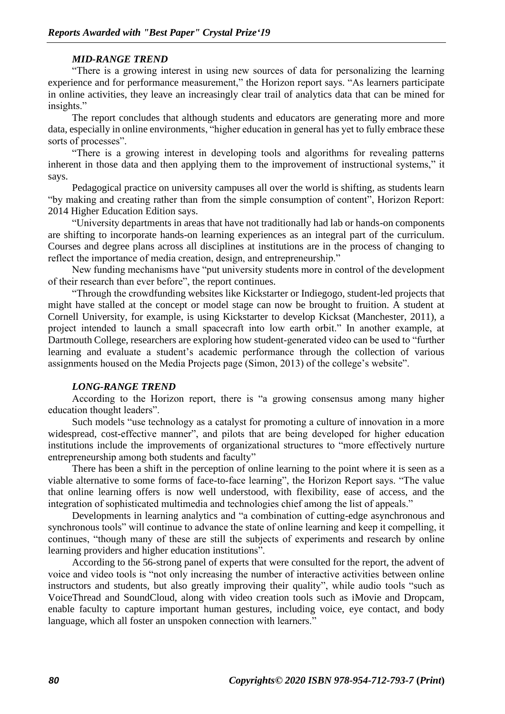### *MID-RANGE TREND*

"There is a growing interest in using new sources of data for personalizing the learning experience and for performance measurement," the Horizon report says. "As learners participate in online activities, they leave an increasingly clear trail of analytics data that can be mined for insights."

The report concludes that although students and educators are generating more and more data, especially in online environments, "higher education in general has yet to fully embrace these sorts of processes".

"There is a growing interest in developing tools and algorithms for revealing patterns inherent in those data and then applying them to the improvement of instructional systems," it says.

Pedagogical practice on university campuses all over the world is shifting, as students learn "by making and creating rather than from the simple consumption of content", Horizon Report: 2014 Higher Education Edition says.

"University departments in areas that have not traditionally had lab or hands-on components are shifting to incorporate hands-on learning experiences as an integral part of the curriculum. Courses and degree plans across all disciplines at institutions are in the process of changing to reflect the importance of media creation, design, and entrepreneurship."

New funding mechanisms have "put university students more in control of the development of their research than ever before", the report continues.

"Through the crowdfunding websites like Kickstarter or Indiegogo, student-led projects that might have stalled at the concept or model stage can now be brought to fruition. A student at Cornell University, for example, is using Kickstarter to develop Kicksat (Manchester, 2011), a project intended to launch a small spacecraft into low earth orbit." In another example, at Dartmouth College, researchers are exploring how student-generated video can be used to "further learning and evaluate a student's academic performance through the collection of various assignments housed on the Media Projects page (Simon, 2013) of the college's website".

### *LONG-RANGE TREND*

According to the Horizon report, there is "a growing consensus among many higher education thought leaders".

Such models "use technology as a catalyst for promoting a culture of innovation in a more widespread, cost-effective manner", and pilots that are being developed for higher education institutions include the improvements of organizational structures to "more effectively nurture entrepreneurship among both students and faculty"

There has been a shift in the perception of online learning to the point where it is seen as a viable alternative to some forms of face-to-face learning", the Horizon Report says. "The value that online learning offers is now well understood, with flexibility, ease of access, and the integration of sophisticated multimedia and technologies chief among the list of appeals."

Developments in learning analytics and "a combination of cutting-edge asynchronous and synchronous tools" will continue to advance the state of online learning and keep it compelling, it continues, "though many of these are still the subjects of experiments and research by online learning providers and higher education institutions".

According to the 56-strong panel of experts that were consulted for the report, the advent of voice and video tools is "not only increasing the number of interactive activities between online instructors and students, but also greatly improving their quality", while audio tools "such as VoiceThread and SoundCloud, along with video creation tools such as iMovie and Dropcam, enable faculty to capture important human gestures, including voice, eye contact, and body language, which all foster an unspoken connection with learners."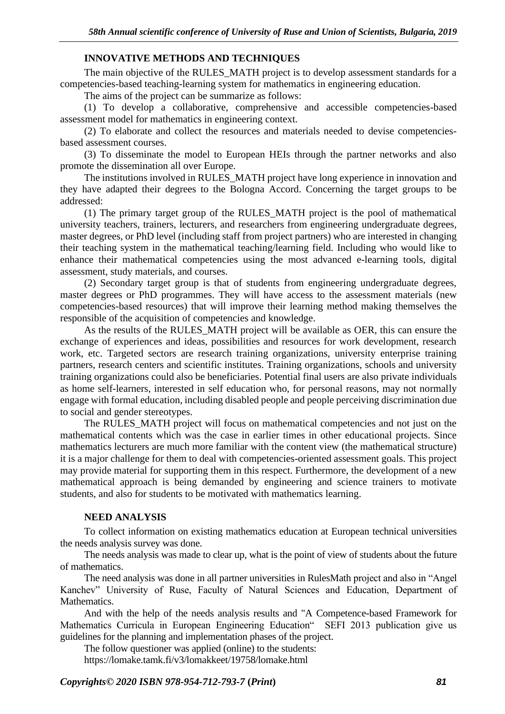### **INNOVATIVE METHODS AND TECHNIQUES**

The main objective of the RULES\_MATH project is to develop assessment standards for a competencies-based teaching-learning system for mathematics in engineering education.

The aims of the project can be summarize as follows:

(1) To develop a collaborative, comprehensive and accessible competencies-based assessment model for mathematics in engineering context.

(2) To elaborate and collect the resources and materials needed to devise competenciesbased assessment courses.

(3) To disseminate the model to European HEIs through the partner networks and also promote the dissemination all over Europe.

The institutions involved in RULES\_MATH project have long experience in innovation and they have adapted their degrees to the Bologna Accord. Concerning the target groups to be addressed:

(1) The primary target group of the RULES\_MATH project is the pool of mathematical university teachers, trainers, lecturers, and researchers from engineering undergraduate degrees, master degrees, or PhD level (including staff from project partners) who are interested in changing their teaching system in the mathematical teaching/learning field. Including who would like to enhance their mathematical competencies using the most advanced e-learning tools, digital assessment, study materials, and courses.

(2) Secondary target group is that of students from engineering undergraduate degrees, master degrees or PhD programmes. They will have access to the assessment materials (new competencies-based resources) that will improve their learning method making themselves the responsible of the acquisition of competencies and knowledge.

As the results of the RULES MATH project will be available as OER, this can ensure the exchange of experiences and ideas, possibilities and resources for work development, research work, etc. Targeted sectors are research training organizations, university enterprise training partners, research centers and scientific institutes. Training organizations, schools and university training organizations could also be beneficiaries. Potential final users are also private individuals as home self-learners, interested in self education who, for personal reasons, may not normally engage with formal education, including disabled people and people perceiving discrimination due to social and gender stereotypes.

The RULES MATH project will focus on mathematical competencies and not just on the mathematical contents which was the case in earlier times in other educational projects. Since mathematics lecturers are much more familiar with the content view (the mathematical structure) it is a major challenge for them to deal with competencies-oriented assessment goals. This project may provide material for supporting them in this respect. Furthermore, the development of a new mathematical approach is being demanded by engineering and science trainers to motivate students, and also for students to be motivated with mathematics learning.

### **NEED ANALYSIS**

To collect information on existing mathematics education at European technical universities the needs analysis survey was done.

The needs analysis was made to clear up, what is the point of view of students about the future of mathematics.

The need analysis was done in all partner universities in RulesMath project and also in "Angel Kanchev" University of Ruse, Faculty of Natural Sciences and Education, Department of Mathematics.

And with the help of the needs analysis results and "A Competence-based Framework for Mathematics Curricula in European Engineering Education" SEFI 2013 publication give us guidelines for the planning and implementation phases of the project.

The follow questioner was applied (online) to the students:

https://lomake.tamk.fi/v3/lomakkeet/19758/lomake.html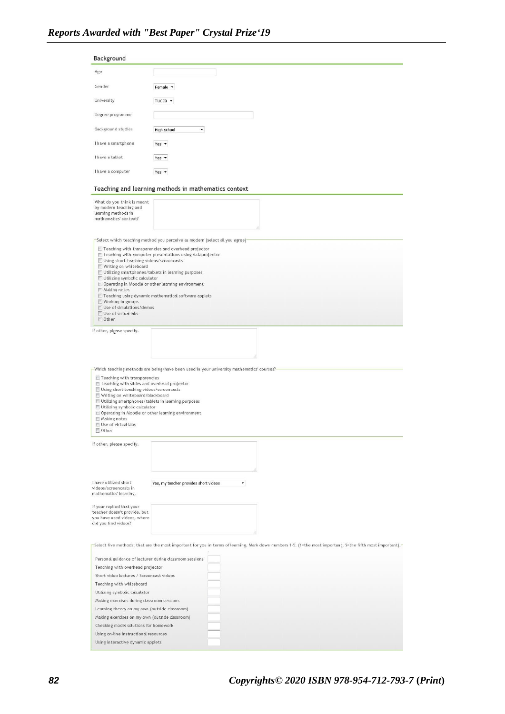| Age                                                                                                                                                                                                                                                                                                    |                                                                                                                                                            |
|--------------------------------------------------------------------------------------------------------------------------------------------------------------------------------------------------------------------------------------------------------------------------------------------------------|------------------------------------------------------------------------------------------------------------------------------------------------------------|
|                                                                                                                                                                                                                                                                                                        |                                                                                                                                                            |
| Gender                                                                                                                                                                                                                                                                                                 | Female <b>v</b>                                                                                                                                            |
| University                                                                                                                                                                                                                                                                                             | TUCEB <b>-</b>                                                                                                                                             |
| Degree programme                                                                                                                                                                                                                                                                                       |                                                                                                                                                            |
| Background studies                                                                                                                                                                                                                                                                                     | $\blacktriangledown$                                                                                                                                       |
|                                                                                                                                                                                                                                                                                                        | High school                                                                                                                                                |
| I have a smartphone                                                                                                                                                                                                                                                                                    | Yes -                                                                                                                                                      |
| I have a tablet                                                                                                                                                                                                                                                                                        | Yes $\star$                                                                                                                                                |
| I have a computer                                                                                                                                                                                                                                                                                      | Yes -                                                                                                                                                      |
|                                                                                                                                                                                                                                                                                                        | Teaching and learning methods in mathematics context                                                                                                       |
| What do you think is meant                                                                                                                                                                                                                                                                             |                                                                                                                                                            |
| by modern teaching and<br>learning methods in                                                                                                                                                                                                                                                          |                                                                                                                                                            |
| mathematics' context?                                                                                                                                                                                                                                                                                  |                                                                                                                                                            |
|                                                                                                                                                                                                                                                                                                        |                                                                                                                                                            |
|                                                                                                                                                                                                                                                                                                        | Select which teaching method you perceive as modern (select all you agree)-<br>Teaching with transparencies and overhead projector                         |
|                                                                                                                                                                                                                                                                                                        | Teaching with computer presentations using dataprojector                                                                                                   |
| Using short teaching videos/screencasts<br>Writing on whiteboard                                                                                                                                                                                                                                       |                                                                                                                                                            |
|                                                                                                                                                                                                                                                                                                        | Utilizing smartphones/tablets in learning purposes                                                                                                         |
| Utilizing symbolic calculator                                                                                                                                                                                                                                                                          | Operating in Moodle or other learning environment                                                                                                          |
| Making notes                                                                                                                                                                                                                                                                                           |                                                                                                                                                            |
| Working in groups                                                                                                                                                                                                                                                                                      | Teaching using dynamic mathematical software applets                                                                                                       |
| Use of simulations/demos<br>Use of virtual labs                                                                                                                                                                                                                                                        |                                                                                                                                                            |
| Other                                                                                                                                                                                                                                                                                                  |                                                                                                                                                            |
| If other, please specify.                                                                                                                                                                                                                                                                              |                                                                                                                                                            |
|                                                                                                                                                                                                                                                                                                        |                                                                                                                                                            |
|                                                                                                                                                                                                                                                                                                        |                                                                                                                                                            |
|                                                                                                                                                                                                                                                                                                        |                                                                                                                                                            |
|                                                                                                                                                                                                                                                                                                        |                                                                                                                                                            |
|                                                                                                                                                                                                                                                                                                        | -Which teaching methods are being/have been used in your university mathematics' courses?-                                                                 |
| Teaching with transparencies                                                                                                                                                                                                                                                                           |                                                                                                                                                            |
| Teaching with slides and overhead projector                                                                                                                                                                                                                                                            |                                                                                                                                                            |
| Using short teaching videos/screencasts                                                                                                                                                                                                                                                                |                                                                                                                                                            |
| Writing on whiteboard/blackboard                                                                                                                                                                                                                                                                       |                                                                                                                                                            |
|                                                                                                                                                                                                                                                                                                        |                                                                                                                                                            |
| Utilizing smartphones/tablets in learning purposes                                                                                                                                                                                                                                                     |                                                                                                                                                            |
| Utilizing symbolic calculator<br>Operating in Moodle or other learning environment                                                                                                                                                                                                                     |                                                                                                                                                            |
| Making notes                                                                                                                                                                                                                                                                                           |                                                                                                                                                            |
| Use of virtual labs<br>Other                                                                                                                                                                                                                                                                           |                                                                                                                                                            |
|                                                                                                                                                                                                                                                                                                        |                                                                                                                                                            |
|                                                                                                                                                                                                                                                                                                        |                                                                                                                                                            |
|                                                                                                                                                                                                                                                                                                        |                                                                                                                                                            |
|                                                                                                                                                                                                                                                                                                        |                                                                                                                                                            |
|                                                                                                                                                                                                                                                                                                        | Yes, my teacher provides short videos<br>$\blacktriangledown$                                                                                              |
|                                                                                                                                                                                                                                                                                                        |                                                                                                                                                            |
|                                                                                                                                                                                                                                                                                                        |                                                                                                                                                            |
|                                                                                                                                                                                                                                                                                                        |                                                                                                                                                            |
|                                                                                                                                                                                                                                                                                                        |                                                                                                                                                            |
|                                                                                                                                                                                                                                                                                                        |                                                                                                                                                            |
|                                                                                                                                                                                                                                                                                                        |                                                                                                                                                            |
|                                                                                                                                                                                                                                                                                                        | -Select five methods, that are the most important for you in terms of learning. Mark down numbers 1-5. (1=the most important, 5=the fifth most important). |
| Personal guidance of lecturer during classroom sessions                                                                                                                                                                                                                                                |                                                                                                                                                            |
|                                                                                                                                                                                                                                                                                                        |                                                                                                                                                            |
| Short video lectures / Screencast videos                                                                                                                                                                                                                                                               |                                                                                                                                                            |
| Teaching with whiteboard                                                                                                                                                                                                                                                                               |                                                                                                                                                            |
| Utilizing symbolic calculator                                                                                                                                                                                                                                                                          |                                                                                                                                                            |
| Making exercises during classroom sessions                                                                                                                                                                                                                                                             |                                                                                                                                                            |
| Learning theory on my own (outside classroom)                                                                                                                                                                                                                                                          |                                                                                                                                                            |
| Making exercises on my own (outside classroom)                                                                                                                                                                                                                                                         |                                                                                                                                                            |
| Checking model solutions for homework                                                                                                                                                                                                                                                                  |                                                                                                                                                            |
| If other, please specify.<br>I have utilized short<br>videos/screencasts in<br>mathematics' learning.<br>If your replied that your<br>teacher doesn't provide, but<br>you have used videos, where<br>did you find videos?<br>Teaching with overhead projector<br>Using on-line instructional resources |                                                                                                                                                            |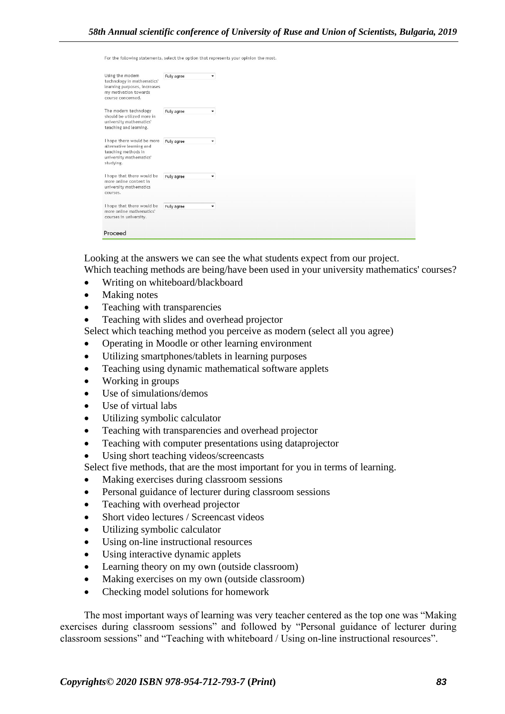|  | For the following statements, select the option that represents your opinion the most. |  |  |  |
|--|----------------------------------------------------------------------------------------|--|--|--|
|--|----------------------------------------------------------------------------------------|--|--|--|

| Using the modern<br>technology in mathematics'<br>learning purposes, increases<br>my motivation towards<br>course concerned. | Fully agree | $\overline{\phantom{0}}$ |  |  |  |
|------------------------------------------------------------------------------------------------------------------------------|-------------|--------------------------|--|--|--|
| The modern technology<br>should be utilized more in<br>university mathematics'<br>teaching and learning.                     | Fully agree | ۰                        |  |  |  |
| I hope there would be more<br>alternative learning and<br>teaching methods in<br>university mathematics'<br>studying.        | Fully agree | ۰                        |  |  |  |
| I hope that there would be<br>more online content in<br>university mathematics<br>courses.                                   | Fully agree | $\blacktriangledown$     |  |  |  |
| I hope that there would be<br>more online mathematics'<br>courses in university.                                             | Fully agree | $\blacktriangledown$     |  |  |  |
| Proceed                                                                                                                      |             |                          |  |  |  |

Looking at the answers we can see the what students expect from our project.

Which teaching methods are being/have been used in your university mathematics' courses?

- Writing on whiteboard/blackboard
- Making notes
- Teaching with transparencies
- Teaching with slides and overhead projector

Select which teaching method you perceive as modern (select all you agree)

- Operating in Moodle or other learning environment
- Utilizing smartphones/tablets in learning purposes
- Teaching using dynamic mathematical software applets
- Working in groups
- Use of simulations/demos
- Use of virtual labs
- Utilizing symbolic calculator
- Teaching with transparencies and overhead projector
- Teaching with computer presentations using dataprojector
- Using short teaching videos/screencasts

Select five methods, that are the most important for you in terms of learning.

- Making exercises during classroom sessions
- Personal guidance of lecturer during classroom sessions
- Teaching with overhead projector
- Short video lectures / Screencast videos
- Utilizing symbolic calculator
- Using on-line instructional resources
- Using interactive dynamic applets
- Learning theory on my own (outside classroom)
- Making exercises on my own (outside classroom)
- Checking model solutions for homework

The most important ways of learning was very teacher centered as the top one was "Making exercises during classroom sessions" and followed by "Personal guidance of lecturer during classroom sessions" and "Teaching with whiteboard / Using on-line instructional resources".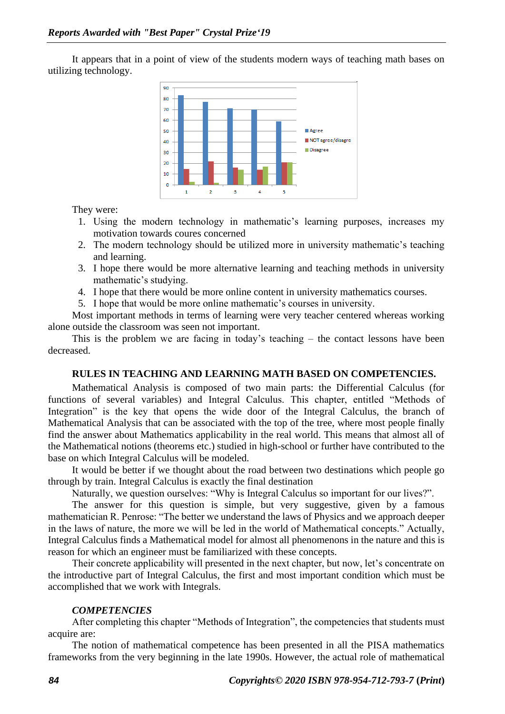It appears that in a point of view of the students modern ways of teaching math bases on utilizing technology.



They were:

- 1. Using the modern technology in mathematic's learning purposes, increases my motivation towards coures concerned
- 2. The modern technology should be utilized more in university mathematic's teaching and learning.
- 3. I hope there would be more alternative learning and teaching methods in university mathematic's studying.
- 4. I hope that there would be more online content in university mathematics courses.
- 5. I hope that would be more online mathematic's courses in university.

Most important methods in terms of learning were very teacher centered whereas working alone outside the classroom was seen not important.

This is the problem we are facing in today's teaching – the contact lessons have been decreased.

#### **RULES IN TEACHING AND LEARNING MATH BASED ON COMPETENCIES.**

Mathematical Analysis is composed of two main parts: the Differential Calculus (for functions of several variables) and Integral Calculus. This chapter, entitled "Methods of Integration" is the key that opens the wide door of the Integral Calculus, the branch of Mathematical Analysis that can be associated with the top of the tree, where most people finally find the answer about Mathematics applicability in the real world. This means that almost all of the Mathematical notions (theorems etc.) studied in high-school or further have contributed to the base on which Integral Calculus will be modeled.

It would be better if we thought about the road between two destinations which people go through by train. Integral Calculus is exactly the final destination

Naturally, we question ourselves: "Why is Integral Calculus so important for our lives?".

The answer for this question is simple, but very suggestive, given by a famous mathematician R. Penrose: "The better we understand the laws of Physics and we approach deeper in the laws of nature, the more we will be led in the world of Mathematical concepts." Actually, Integral Calculus finds a Mathematical model for almost all phenomenons in the nature and this is reason for which an engineer must be familiarized with these concepts.

Their concrete applicability will presented in the next chapter, but now, let's concentrate on the introductive part of Integral Calculus, the first and most important condition which must be accomplished that we work with Integrals.

#### *COMPETENCIES*

After completing this chapter "Methods of Integration", the competencies that students must acquire are:

The notion of mathematical competence has been presented in all the PISA mathematics frameworks from the very beginning in the late 1990s. However, the actual role of mathematical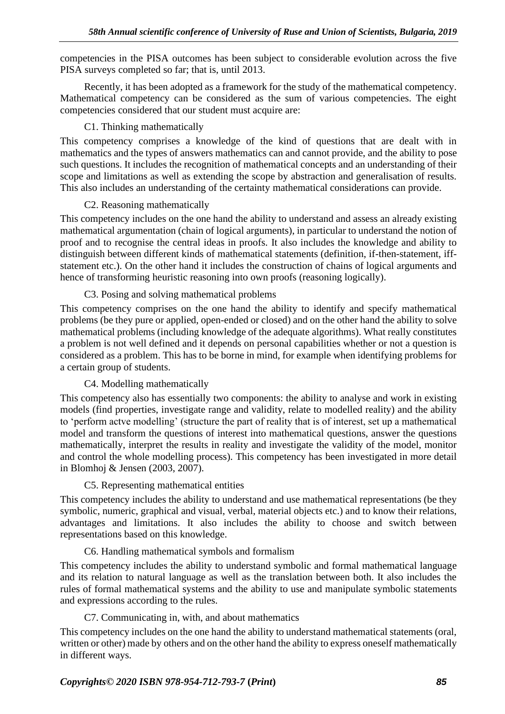competencies in the PISA outcomes has been subject to considerable evolution across the five PISA surveys completed so far; that is, until 2013.

Recently, it has been adopted as a framework for the study of the mathematical competency. Mathematical competency can be considered as the sum of various competencies. The eight competencies considered that our student must acquire are:

## C1. Thinking mathematically

This competency comprises a knowledge of the kind of questions that are dealt with in mathematics and the types of answers mathematics can and cannot provide, and the ability to pose such questions. It includes the recognition of mathematical concepts and an understanding of their scope and limitations as well as extending the scope by abstraction and generalisation of results. This also includes an understanding of the certainty mathematical considerations can provide.

## C2. Reasoning mathematically

This competency includes on the one hand the ability to understand and assess an already existing mathematical argumentation (chain of logical arguments), in particular to understand the notion of proof and to recognise the central ideas in proofs. It also includes the knowledge and ability to distinguish between different kinds of mathematical statements (definition, if-then-statement, iffstatement etc.). On the other hand it includes the construction of chains of logical arguments and hence of transforming heuristic reasoning into own proofs (reasoning logically).

## C3. Posing and solving mathematical problems

This competency comprises on the one hand the ability to identify and specify mathematical problems (be they pure or applied, open-ended or closed) and on the other hand the ability to solve mathematical problems (including knowledge of the adequate algorithms). What really constitutes a problem is not well defined and it depends on personal capabilities whether or not a question is considered as a problem. This has to be borne in mind, for example when identifying problems for a certain group of students.

# C4. Modelling mathematically

This competency also has essentially two components: the ability to analyse and work in existing models (find properties, investigate range and validity, relate to modelled reality) and the ability to 'perform actve modelling' (structure the part of reality that is of interest, set up a mathematical model and transform the questions of interest into mathematical questions, answer the questions mathematically, interpret the results in reality and investigate the validity of the model, monitor and control the whole modelling process). This competency has been investigated in more detail in Blomhoj & Jensen (2003, 2007).

### C5. Representing mathematical entities

This competency includes the ability to understand and use mathematical representations (be they symbolic, numeric, graphical and visual, verbal, material objects etc.) and to know their relations, advantages and limitations. It also includes the ability to choose and switch between representations based on this knowledge.

### C6. Handling mathematical symbols and formalism

This competency includes the ability to understand symbolic and formal mathematical language and its relation to natural language as well as the translation between both. It also includes the rules of formal mathematical systems and the ability to use and manipulate symbolic statements and expressions according to the rules.

C7. Communicating in, with, and about mathematics

This competency includes on the one hand the ability to understand mathematical statements (oral, written or other) made by others and on the other hand the ability to express oneself mathematically in different ways.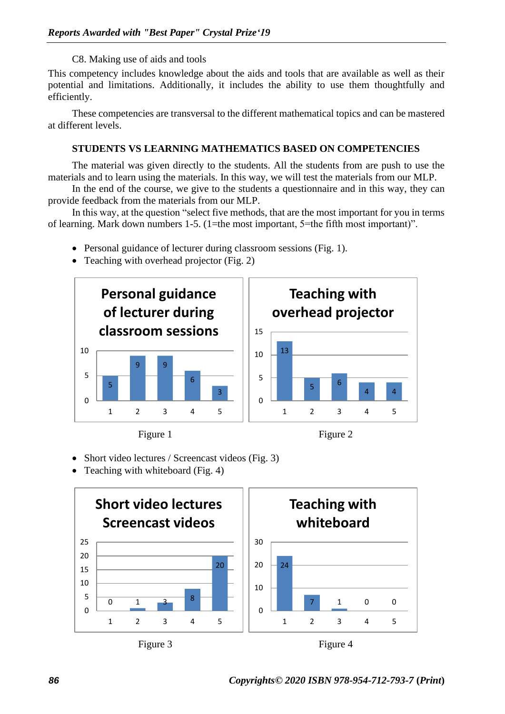C8. Making use of aids and tools

This competency includes knowledge about the aids and tools that are available as well as their potential and limitations. Additionally, it includes the ability to use them thoughtfully and efficiently.

These competencies are transversal to the different mathematical topics and can be mastered at different levels.

#### **STUDENTS VS LEARNING MATHEMATICS BASED ON COMPETENCIES**

The material was given directly to the students. All the students from are push to use the materials and to learn using the materials. In this way, we will test the materials from our MLP.

In the end of the course, we give to the students a questionnaire and in this way, they can provide feedback from the materials from our MLP.

In this way, at the question "select five methods, that are the most important for you in terms of learning. Mark down numbers 1-5. (1=the most important, 5=the fifth most important)".

- Personal guidance of lecturer during classroom sessions (Fig. 1).
- Teaching with overhead projector (Fig. 2)







• Short video lectures / Screencast videos (Fig. 3)

• Teaching with whiteboard (Fig. 4)







*86 Copyrights© 2020 ISBN 978-954-712-793-7* **(***Print***)**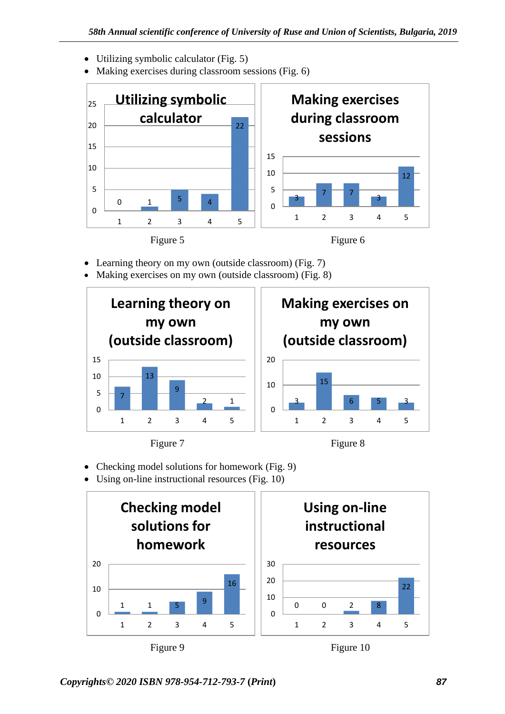- Utilizing symbolic calculator (Fig. 5)
- Making exercises during classroom sessions (Fig. 6)



- Learning theory on my own (outside classroom) (Fig. 7)
- Making exercises on my own (outside classroom) (Fig. 8)





- Checking model solutions for homework (Fig. 9)
- Using on-line instructional resources (Fig. 10)



*Copyrights© 2020 ISBN 978-954-712-793-7* **(***Print***)** *87*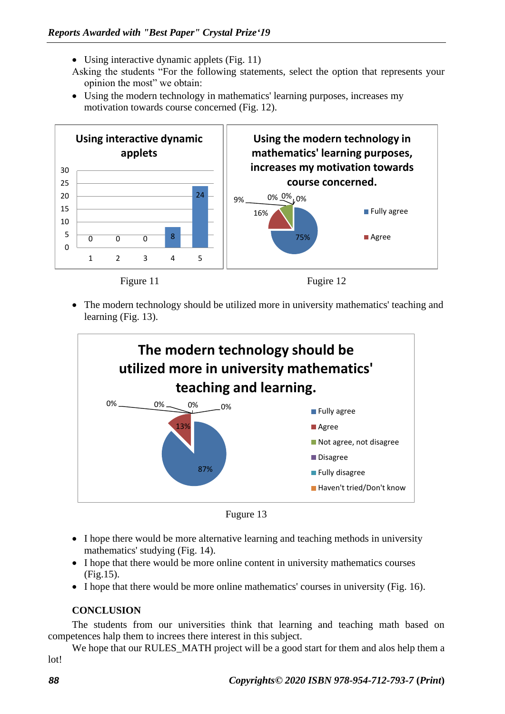- Using interactive dynamic applets (Fig. 11)
- Asking the students "For the following statements, select the option that represents your opinion the most" we obtain:
- Using the modern technology in mathematics' learning purposes, increases my motivation towards course concerned (Fig. 12).



• The modern technology should be utilized more in university mathematics' teaching and learning (Fig. 13).



Fugure 13

- I hope there would be more alternative learning and teaching methods in university mathematics' studying (Fig. 14).
- I hope that there would be more online content in university mathematics courses (Fig.15).
- I hope that there would be more online mathematics' courses in university (Fig. 16).

### **CONCLUSION**

The students from our universities think that learning and teaching math based on competences halp them to increes there interest in this subject.

We hope that our RULES MATH project will be a good start for them and alos help them a lot!